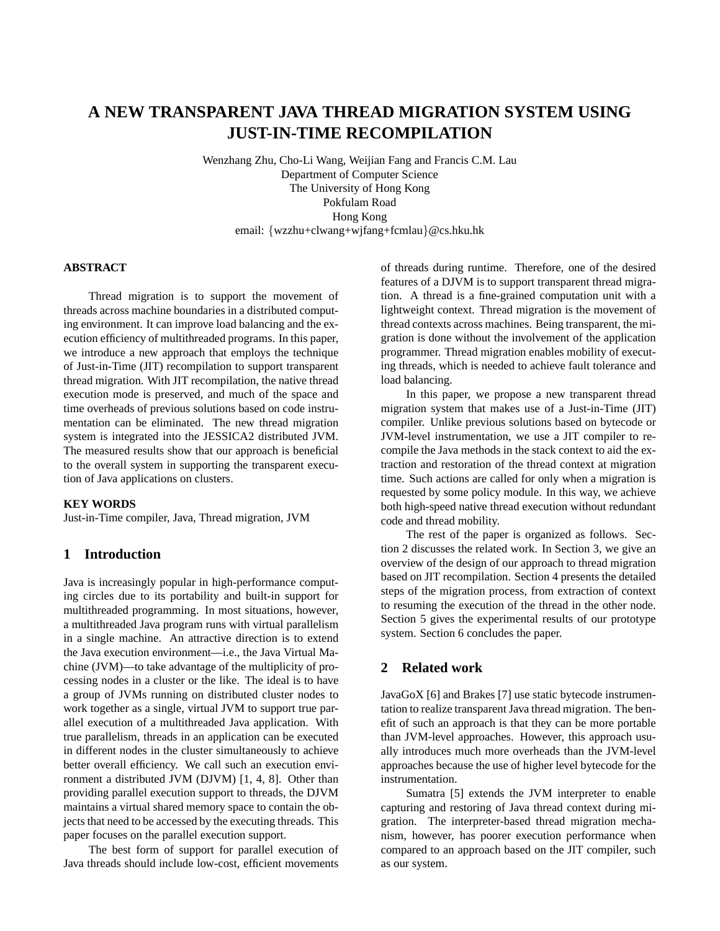# **A NEW TRANSPARENT JAVA THREAD MIGRATION SYSTEM USING JUST-IN-TIME RECOMPILATION**

Wenzhang Zhu, Cho-Li Wang, Weijian Fang and Francis C.M. Lau Department of Computer Science The University of Hong Kong Pokfulam Road Hong Kong email: {wzzhu+clwang+wjfang+fcmlau}@cs.hku.hk

#### **ABSTRACT**

Thread migration is to support the movement of threads across machine boundaries in a distributed computing environment. It can improve load balancing and the execution efficiency of multithreaded programs. In this paper, we introduce a new approach that employs the technique of Just-in-Time (JIT) recompilation to support transparent thread migration. With JIT recompilation, the native thread execution mode is preserved, and much of the space and time overheads of previous solutions based on code instrumentation can be eliminated. The new thread migration system is integrated into the JESSICA2 distributed JVM. The measured results show that our approach is beneficial to the overall system in supporting the transparent execution of Java applications on clusters.

#### **KEY WORDS**

Just-in-Time compiler, Java, Thread migration, JVM

## **1 Introduction**

Java is increasingly popular in high-performance computing circles due to its portability and built-in support for multithreaded programming. In most situations, however, a multithreaded Java program runs with virtual parallelism in a single machine. An attractive direction is to extend the Java execution environment—i.e., the Java Virtual Machine (JVM)—to take advantage of the multiplicity of processing nodes in a cluster or the like. The ideal is to have a group of JVMs running on distributed cluster nodes to work together as a single, virtual JVM to support true parallel execution of a multithreaded Java application. With true parallelism, threads in an application can be executed in different nodes in the cluster simultaneously to achieve better overall efficiency. We call such an execution environment a distributed JVM (DJVM) [1, 4, 8]. Other than providing parallel execution support to threads, the DJVM maintains a virtual shared memory space to contain the objects that need to be accessed by the executing threads. This paper focuses on the parallel execution support.

The best form of support for parallel execution of Java threads should include low-cost, efficient movements of threads during runtime. Therefore, one of the desired features of a DJVM is to support transparent thread migration. A thread is a fine-grained computation unit with a lightweight context. Thread migration is the movement of thread contexts across machines. Being transparent, the migration is done without the involvement of the application programmer. Thread migration enables mobility of executing threads, which is needed to achieve fault tolerance and load balancing.

In this paper, we propose a new transparent thread migration system that makes use of a Just-in-Time (JIT) compiler. Unlike previous solutions based on bytecode or JVM-level instrumentation, we use a JIT compiler to recompile the Java methods in the stack context to aid the extraction and restoration of the thread context at migration time. Such actions are called for only when a migration is requested by some policy module. In this way, we achieve both high-speed native thread execution without redundant code and thread mobility.

The rest of the paper is organized as follows. Section 2 discusses the related work. In Section 3, we give an overview of the design of our approach to thread migration based on JIT recompilation. Section 4 presents the detailed steps of the migration process, from extraction of context to resuming the execution of the thread in the other node. Section 5 gives the experimental results of our prototype system. Section 6 concludes the paper.

## **2 Related work**

JavaGoX [6] and Brakes [7] use static bytecode instrumentation to realize transparent Java thread migration. The benefit of such an approach is that they can be more portable than JVM-level approaches. However, this approach usually introduces much more overheads than the JVM-level approaches because the use of higher level bytecode for the instrumentation.

Sumatra [5] extends the JVM interpreter to enable capturing and restoring of Java thread context during migration. The interpreter-based thread migration mechanism, however, has poorer execution performance when compared to an approach based on the JIT compiler, such as our system.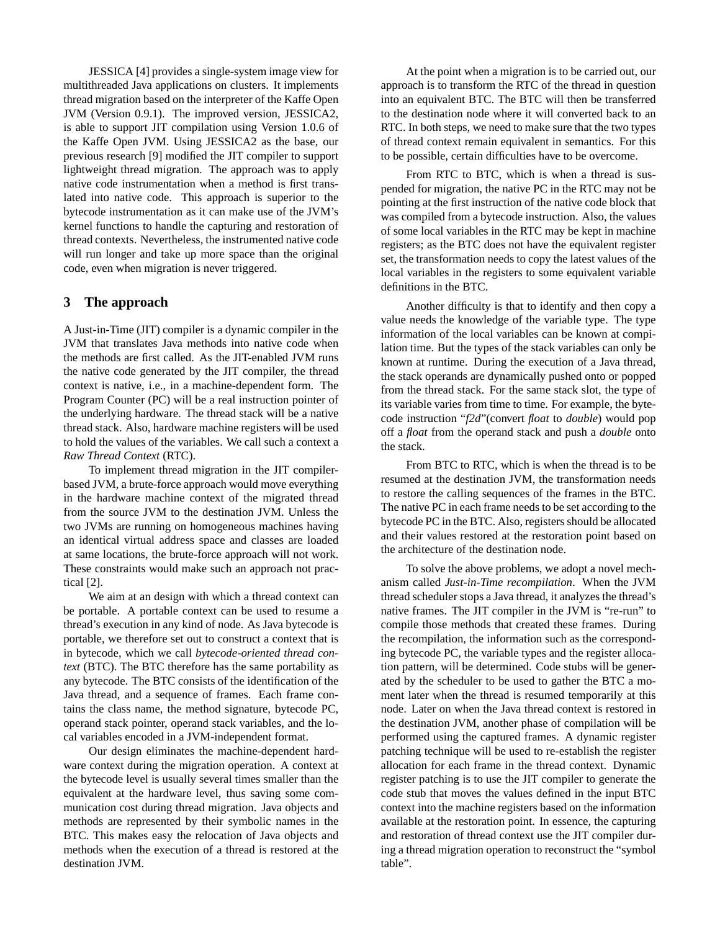JESSICA [4] provides a single-system image view for multithreaded Java applications on clusters. It implements thread migration based on the interpreter of the Kaffe Open JVM (Version 0.9.1). The improved version, JESSICA2, is able to support JIT compilation using Version 1.0.6 of the Kaffe Open JVM. Using JESSICA2 as the base, our previous research [9] modified the JIT compiler to support lightweight thread migration. The approach was to apply native code instrumentation when a method is first translated into native code. This approach is superior to the bytecode instrumentation as it can make use of the JVM's kernel functions to handle the capturing and restoration of thread contexts. Nevertheless, the instrumented native code will run longer and take up more space than the original code, even when migration is never triggered.

#### **3 The approach**

A Just-in-Time (JIT) compiler is a dynamic compiler in the JVM that translates Java methods into native code when the methods are first called. As the JIT-enabled JVM runs the native code generated by the JIT compiler, the thread context is native, i.e., in a machine-dependent form. The Program Counter (PC) will be a real instruction pointer of the underlying hardware. The thread stack will be a native thread stack. Also, hardware machine registers will be used to hold the values of the variables. We call such a context a *Raw Thread Context* (RTC).

To implement thread migration in the JIT compilerbased JVM, a brute-force approach would move everything in the hardware machine context of the migrated thread from the source JVM to the destination JVM. Unless the two JVMs are running on homogeneous machines having an identical virtual address space and classes are loaded at same locations, the brute-force approach will not work. These constraints would make such an approach not practical [2].

We aim at an design with which a thread context can be portable. A portable context can be used to resume a thread's execution in any kind of node. As Java bytecode is portable, we therefore set out to construct a context that is in bytecode, which we call *bytecode-oriented thread context* (BTC). The BTC therefore has the same portability as any bytecode. The BTC consists of the identification of the Java thread, and a sequence of frames. Each frame contains the class name, the method signature, bytecode PC, operand stack pointer, operand stack variables, and the local variables encoded in a JVM-independent format.

Our design eliminates the machine-dependent hardware context during the migration operation. A context at the bytecode level is usually several times smaller than the equivalent at the hardware level, thus saving some communication cost during thread migration. Java objects and methods are represented by their symbolic names in the BTC. This makes easy the relocation of Java objects and methods when the execution of a thread is restored at the destination JVM.

At the point when a migration is to be carried out, our approach is to transform the RTC of the thread in question into an equivalent BTC. The BTC will then be transferred to the destination node where it will converted back to an RTC. In both steps, we need to make sure that the two types of thread context remain equivalent in semantics. For this to be possible, certain difficulties have to be overcome.

From RTC to BTC, which is when a thread is suspended for migration, the native PC in the RTC may not be pointing at the first instruction of the native code block that was compiled from a bytecode instruction. Also, the values of some local variables in the RTC may be kept in machine registers; as the BTC does not have the equivalent register set, the transformation needs to copy the latest values of the local variables in the registers to some equivalent variable definitions in the BTC.

Another difficulty is that to identify and then copy a value needs the knowledge of the variable type. The type information of the local variables can be known at compilation time. But the types of the stack variables can only be known at runtime. During the execution of a Java thread, the stack operands are dynamically pushed onto or popped from the thread stack. For the same stack slot, the type of its variable varies from time to time. For example, the bytecode instruction "*f2d*"(convert *float* to *double*) would pop off a *float* from the operand stack and push a *double* onto the stack.

From BTC to RTC, which is when the thread is to be resumed at the destination JVM, the transformation needs to restore the calling sequences of the frames in the BTC. The native PC in each frame needs to be set according to the bytecode PC in the BTC. Also, registers should be allocated and their values restored at the restoration point based on the architecture of the destination node.

To solve the above problems, we adopt a novel mechanism called *Just-in-Time recompilation*. When the JVM thread scheduler stops a Java thread, it analyzes the thread's native frames. The JIT compiler in the JVM is "re-run" to compile those methods that created these frames. During the recompilation, the information such as the corresponding bytecode PC, the variable types and the register allocation pattern, will be determined. Code stubs will be generated by the scheduler to be used to gather the BTC a moment later when the thread is resumed temporarily at this node. Later on when the Java thread context is restored in the destination JVM, another phase of compilation will be performed using the captured frames. A dynamic register patching technique will be used to re-establish the register allocation for each frame in the thread context. Dynamic register patching is to use the JIT compiler to generate the code stub that moves the values defined in the input BTC context into the machine registers based on the information available at the restoration point. In essence, the capturing and restoration of thread context use the JIT compiler during a thread migration operation to reconstruct the "symbol table".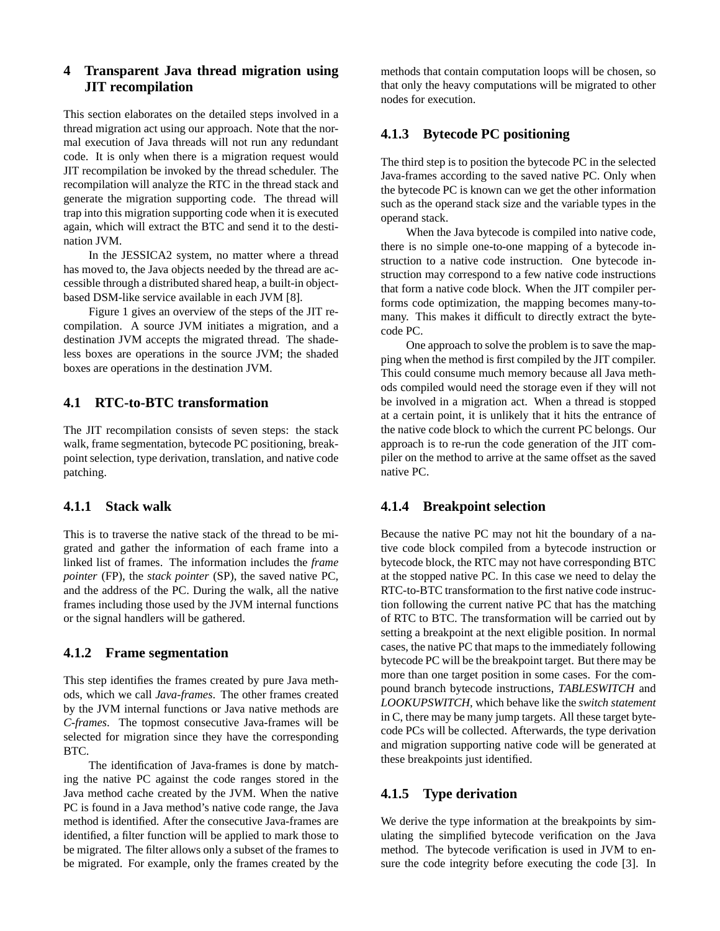# **4 Transparent Java thread migration using JIT recompilation**

This section elaborates on the detailed steps involved in a thread migration act using our approach. Note that the normal execution of Java threads will not run any redundant code. It is only when there is a migration request would JIT recompilation be invoked by the thread scheduler. The recompilation will analyze the RTC in the thread stack and generate the migration supporting code. The thread will trap into this migration supporting code when it is executed again, which will extract the BTC and send it to the destination JVM.

In the JESSICA2 system, no matter where a thread has moved to, the Java objects needed by the thread are accessible through a distributed shared heap, a built-in objectbased DSM-like service available in each JVM [8].

Figure 1 gives an overview of the steps of the JIT recompilation. A source JVM initiates a migration, and a destination JVM accepts the migrated thread. The shadeless boxes are operations in the source JVM; the shaded boxes are operations in the destination JVM.

## **4.1 RTC-to-BTC transformation**

The JIT recompilation consists of seven steps: the stack walk, frame segmentation, bytecode PC positioning, breakpoint selection, type derivation, translation, and native code patching.

## **4.1.1 Stack walk**

This is to traverse the native stack of the thread to be migrated and gather the information of each frame into a linked list of frames. The information includes the *frame pointer* (FP), the *stack pointer* (SP), the saved native PC, and the address of the PC. During the walk, all the native frames including those used by the JVM internal functions or the signal handlers will be gathered.

## **4.1.2 Frame segmentation**

This step identifies the frames created by pure Java methods, which we call *Java-frames*. The other frames created by the JVM internal functions or Java native methods are *C-frames*. The topmost consecutive Java-frames will be selected for migration since they have the corresponding BTC.

The identification of Java-frames is done by matching the native PC against the code ranges stored in the Java method cache created by the JVM. When the native PC is found in a Java method's native code range, the Java method is identified. After the consecutive Java-frames are identified, a filter function will be applied to mark those to be migrated. The filter allows only a subset of the frames to be migrated. For example, only the frames created by the

methods that contain computation loops will be chosen, so that only the heavy computations will be migrated to other nodes for execution.

## **4.1.3 Bytecode PC positioning**

The third step is to position the bytecode PC in the selected Java-frames according to the saved native PC. Only when the bytecode PC is known can we get the other information such as the operand stack size and the variable types in the operand stack.

When the Java bytecode is compiled into native code, there is no simple one-to-one mapping of a bytecode instruction to a native code instruction. One bytecode instruction may correspond to a few native code instructions that form a native code block. When the JIT compiler performs code optimization, the mapping becomes many-tomany. This makes it difficult to directly extract the bytecode PC.

One approach to solve the problem is to save the mapping when the method is first compiled by the JIT compiler. This could consume much memory because all Java methods compiled would need the storage even if they will not be involved in a migration act. When a thread is stopped at a certain point, it is unlikely that it hits the entrance of the native code block to which the current PC belongs. Our approach is to re-run the code generation of the JIT compiler on the method to arrive at the same offset as the saved native PC.

## **4.1.4 Breakpoint selection**

Because the native PC may not hit the boundary of a native code block compiled from a bytecode instruction or bytecode block, the RTC may not have corresponding BTC at the stopped native PC. In this case we need to delay the RTC-to-BTC transformation to the first native code instruction following the current native PC that has the matching of RTC to BTC. The transformation will be carried out by setting a breakpoint at the next eligible position. In normal cases, the native PC that maps to the immediately following bytecode PC will be the breakpoint target. But there may be more than one target position in some cases. For the compound branch bytecode instructions, *TABLESWITCH* and *LOOKUPSWITCH*, which behave like the *switch statement* in C, there may be many jump targets. All these target bytecode PCs will be collected. Afterwards, the type derivation and migration supporting native code will be generated at these breakpoints just identified.

## **4.1.5 Type derivation**

We derive the type information at the breakpoints by simulating the simplified bytecode verification on the Java method. The bytecode verification is used in JVM to ensure the code integrity before executing the code [3]. In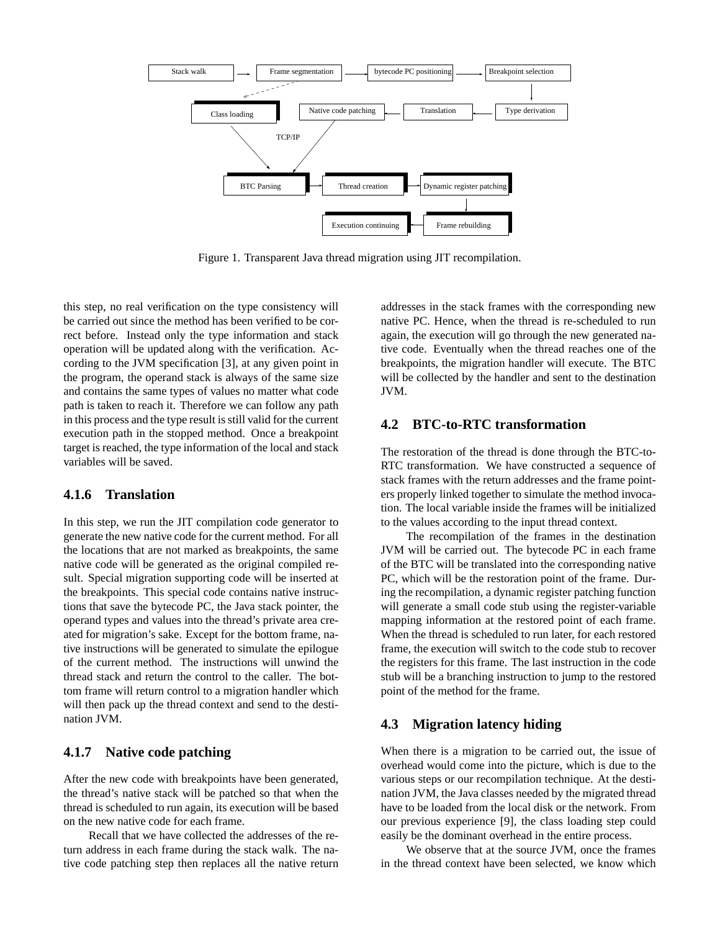

Figure 1. Transparent Java thread migration using JIT recompilation.

this step, no real verification on the type consistency will be carried out since the method has been verified to be correct before. Instead only the type information and stack operation will be updated along with the verification. According to the JVM specification [3], at any given point in the program, the operand stack is always of the same size and contains the same types of values no matter what code path is taken to reach it. Therefore we can follow any path in this process and the type result is still valid for the current execution path in the stopped method. Once a breakpoint target is reached, the type information of the local and stack variables will be saved.

## **4.1.6 Translation**

In this step, we run the JIT compilation code generator to generate the new native code for the current method. For all the locations that are not marked as breakpoints, the same native code will be generated as the original compiled result. Special migration supporting code will be inserted at the breakpoints. This special code contains native instructions that save the bytecode PC, the Java stack pointer, the operand types and values into the thread's private area created for migration's sake. Except for the bottom frame, native instructions will be generated to simulate the epilogue of the current method. The instructions will unwind the thread stack and return the control to the caller. The bottom frame will return control to a migration handler which will then pack up the thread context and send to the destination JVM.

## **4.1.7 Native code patching**

After the new code with breakpoints have been generated, the thread's native stack will be patched so that when the thread is scheduled to run again, its execution will be based on the new native code for each frame.

Recall that we have collected the addresses of the return address in each frame during the stack walk. The native code patching step then replaces all the native return addresses in the stack frames with the corresponding new native PC. Hence, when the thread is re-scheduled to run again, the execution will go through the new generated native code. Eventually when the thread reaches one of the breakpoints, the migration handler will execute. The BTC will be collected by the handler and sent to the destination JVM.

## **4.2 BTC-to-RTC transformation**

The restoration of the thread is done through the BTC-to-RTC transformation. We have constructed a sequence of stack frames with the return addresses and the frame pointers properly linked together to simulate the method invocation. The local variable inside the frames will be initialized to the values according to the input thread context.

The recompilation of the frames in the destination JVM will be carried out. The bytecode PC in each frame of the BTC will be translated into the corresponding native PC, which will be the restoration point of the frame. During the recompilation, a dynamic register patching function will generate a small code stub using the register-variable mapping information at the restored point of each frame. When the thread is scheduled to run later, for each restored frame, the execution will switch to the code stub to recover the registers for this frame. The last instruction in the code stub will be a branching instruction to jump to the restored point of the method for the frame.

## **4.3 Migration latency hiding**

When there is a migration to be carried out, the issue of overhead would come into the picture, which is due to the various steps or our recompilation technique. At the destination JVM, the Java classes needed by the migrated thread have to be loaded from the local disk or the network. From our previous experience [9], the class loading step could easily be the dominant overhead in the entire process.

We observe that at the source JVM, once the frames in the thread context have been selected, we know which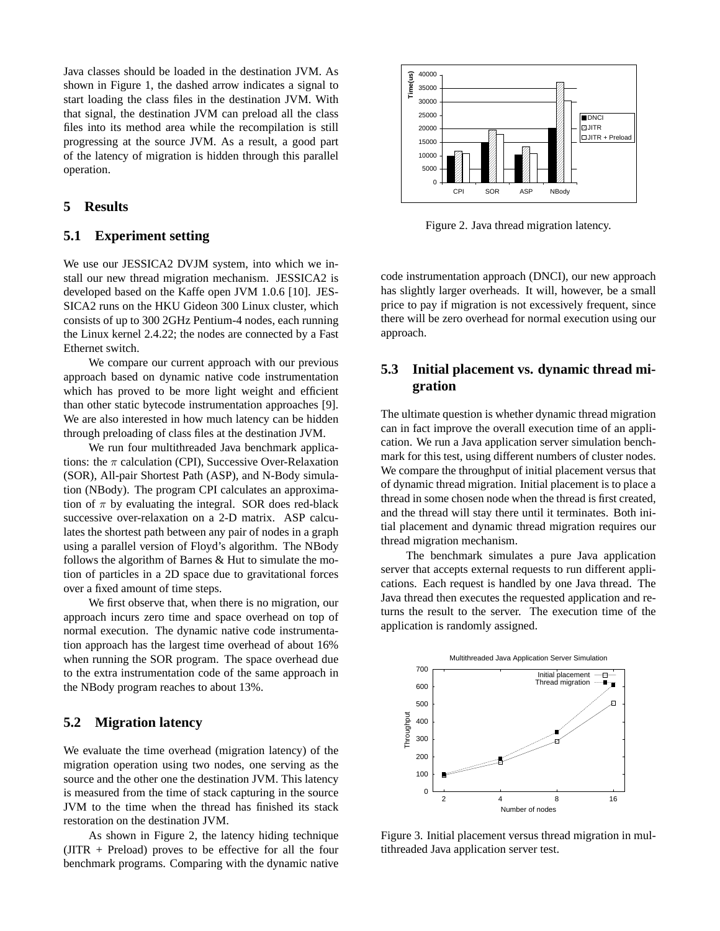Java classes should be loaded in the destination JVM. As shown in Figure 1, the dashed arrow indicates a signal to start loading the class files in the destination JVM. With that signal, the destination JVM can preload all the class files into its method area while the recompilation is still progressing at the source JVM. As a result, a good part of the latency of migration is hidden through this parallel operation.

## **5 Results**

## **5.1 Experiment setting**

We use our JESSICA2 DVJM system, into which we install our new thread migration mechanism. JESSICA2 is developed based on the Kaffe open JVM 1.0.6 [10]. JES-SICA2 runs on the HKU Gideon 300 Linux cluster, which consists of up to 300 2GHz Pentium-4 nodes, each running the Linux kernel 2.4.22; the nodes are connected by a Fast Ethernet switch.

We compare our current approach with our previous approach based on dynamic native code instrumentation which has proved to be more light weight and efficient than other static bytecode instrumentation approaches [9]. We are also interested in how much latency can be hidden through preloading of class files at the destination JVM.

We run four multithreaded Java benchmark applications: the  $\pi$  calculation (CPI), Successive Over-Relaxation (SOR), All-pair Shortest Path (ASP), and N-Body simulation (NBody). The program CPI calculates an approximation of  $\pi$  by evaluating the integral. SOR does red-black successive over-relaxation on a 2-D matrix. ASP calculates the shortest path between any pair of nodes in a graph using a parallel version of Floyd's algorithm. The NBody follows the algorithm of Barnes & Hut to simulate the motion of particles in a 2D space due to gravitational forces over a fixed amount of time steps.

We first observe that, when there is no migration, our approach incurs zero time and space overhead on top of normal execution. The dynamic native code instrumentation approach has the largest time overhead of about 16% when running the SOR program. The space overhead due to the extra instrumentation code of the same approach in the NBody program reaches to about 13%.

## **5.2 Migration latency**

We evaluate the time overhead (migration latency) of the migration operation using two nodes, one serving as the source and the other one the destination JVM. This latency is measured from the time of stack capturing in the source JVM to the time when the thread has finished its stack restoration on the destination JVM.

As shown in Figure 2, the latency hiding technique  $(JITR + Preload)$  proves to be effective for all the four benchmark programs. Comparing with the dynamic native



Figure 2. Java thread migration latency.

code instrumentation approach (DNCI), our new approach has slightly larger overheads. It will, however, be a small price to pay if migration is not excessively frequent, since there will be zero overhead for normal execution using our approach.

## **5.3 Initial placement vs. dynamic thread migration**

The ultimate question is whether dynamic thread migration can in fact improve the overall execution time of an application. We run a Java application server simulation benchmark for this test, using different numbers of cluster nodes. We compare the throughput of initial placement versus that of dynamic thread migration. Initial placement is to place a thread in some chosen node when the thread is first created, and the thread will stay there until it terminates. Both initial placement and dynamic thread migration requires our thread migration mechanism.

The benchmark simulates a pure Java application server that accepts external requests to run different applications. Each request is handled by one Java thread. The Java thread then executes the requested application and returns the result to the server. The execution time of the application is randomly assigned.



Figure 3. Initial placement versus thread migration in multithreaded Java application server test.